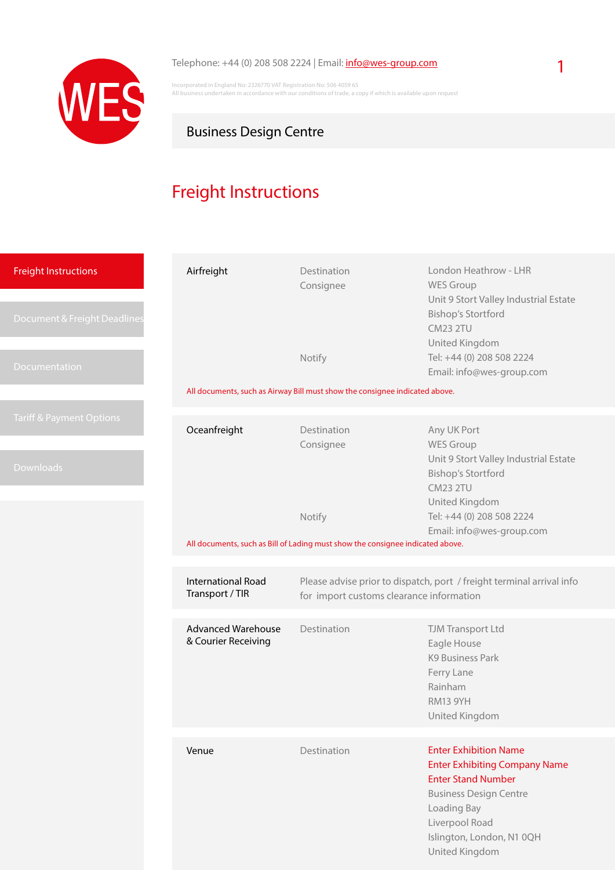<span id="page-0-0"></span>

Incorporated in England No: 2326770 VAT Registration No: 506 4059 65 All business undertaken in accordance with our conditions of trade, a copy if which is available upon request

# Business Design Centre

# Freight Instructions

| <b>Freight Instructions</b><br>Document & Freight Deadlines | Airfreight                                                                                                  | Destination<br>Consignee                                                                                          | London Heathrow - LHR<br><b>WES Group</b><br>Unit 9 Stort Valley Industrial Estate<br><b>Bishop's Stortford</b><br><b>CM23 2TU</b><br>United Kingdom                                                               |  |  |
|-------------------------------------------------------------|-------------------------------------------------------------------------------------------------------------|-------------------------------------------------------------------------------------------------------------------|--------------------------------------------------------------------------------------------------------------------------------------------------------------------------------------------------------------------|--|--|
| Documentation                                               |                                                                                                             | Notify                                                                                                            | Tel: +44 (0) 208 508 2224<br>Email: info@wes-group.com                                                                                                                                                             |  |  |
|                                                             | All documents, such as Airway Bill must show the consignee indicated above.                                 |                                                                                                                   |                                                                                                                                                                                                                    |  |  |
| <b>Tariff &amp; Payment Options</b>                         | Oceanfreight                                                                                                | Destination<br>Consignee                                                                                          | Any UK Port<br><b>WES Group</b>                                                                                                                                                                                    |  |  |
| Downloads                                                   |                                                                                                             |                                                                                                                   | Unit 9 Stort Valley Industrial Estate<br><b>Bishop's Stortford</b><br><b>CM23 2TU</b><br>United Kingdom                                                                                                            |  |  |
|                                                             |                                                                                                             | Notify                                                                                                            | Tel: +44 (0) 208 508 2224                                                                                                                                                                                          |  |  |
|                                                             | Email: info@wes-group.com<br>All documents, such as Bill of Lading must show the consignee indicated above. |                                                                                                                   |                                                                                                                                                                                                                    |  |  |
|                                                             | <b>International Road</b><br>Transport / TIR                                                                | Please advise prior to dispatch, port / freight terminal arrival info<br>for import customs clearance information |                                                                                                                                                                                                                    |  |  |
|                                                             | <b>Advanced Warehouse</b><br>& Courier Receiving                                                            | Destination                                                                                                       | TJM Transport Ltd<br>Eagle House<br><b>K9 Business Park</b><br>Ferry Lane<br>Rainham<br>RM13 9YH<br>United Kingdom                                                                                                 |  |  |
|                                                             |                                                                                                             |                                                                                                                   |                                                                                                                                                                                                                    |  |  |
|                                                             | Venue                                                                                                       | Destination                                                                                                       | <b>Enter Exhibition Name</b><br><b>Enter Exhibiting Company Name</b><br><b>Enter Stand Number</b><br><b>Business Design Centre</b><br>Loading Bay<br>Liverpool Road<br>Islington, London, N1 0QH<br>United Kingdom |  |  |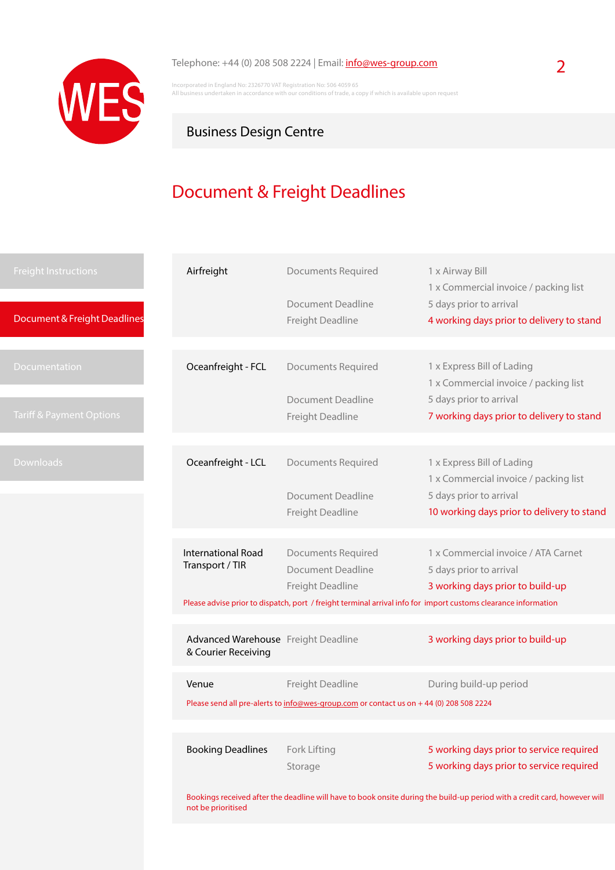<span id="page-1-0"></span>

Incorporated in England No: 2326770 VAT Registration No: 506 4059 65 All business undertaken in accordance with our conditions of trade, a copy if which is available upon request

## Business Design Centre

# Document & Freight Deadlines

| <b>Freight Instructions</b>  | Airfreight                                                 | <b>Documents Required</b>                                                                                      | 1 x Airway Bill<br>1 x Commercial invoice / packing list                                                                  |
|------------------------------|------------------------------------------------------------|----------------------------------------------------------------------------------------------------------------|---------------------------------------------------------------------------------------------------------------------------|
|                              |                                                            | Document Deadline                                                                                              | 5 days prior to arrival                                                                                                   |
| Document & Freight Deadlines |                                                            | Freight Deadline                                                                                               | 4 working days prior to delivery to stand                                                                                 |
|                              |                                                            |                                                                                                                |                                                                                                                           |
| Documentation                | Oceanfreight - FCL                                         | <b>Documents Required</b>                                                                                      | 1 x Express Bill of Lading                                                                                                |
|                              |                                                            | Document Deadline                                                                                              | 1 x Commercial invoice / packing list                                                                                     |
| Tariff & Payment Options     |                                                            | Freight Deadline                                                                                               | 5 days prior to arrival<br>7 working days prior to delivery to stand                                                      |
|                              |                                                            |                                                                                                                |                                                                                                                           |
|                              |                                                            |                                                                                                                |                                                                                                                           |
| <b>Downloads</b>             | Oceanfreight - LCL                                         | <b>Documents Required</b>                                                                                      | 1 x Express Bill of Lading                                                                                                |
|                              |                                                            |                                                                                                                | 1 x Commercial invoice / packing list                                                                                     |
|                              |                                                            | <b>Document Deadline</b>                                                                                       | 5 days prior to arrival                                                                                                   |
|                              |                                                            | Freight Deadline                                                                                               | 10 working days prior to delivery to stand                                                                                |
|                              |                                                            |                                                                                                                |                                                                                                                           |
|                              | <b>International Road</b>                                  | <b>Documents Required</b>                                                                                      | 1 x Commercial invoice / ATA Carnet                                                                                       |
|                              | Transport / TIR                                            | <b>Document Deadline</b>                                                                                       | 5 days prior to arrival                                                                                                   |
|                              |                                                            | Freight Deadline                                                                                               | 3 working days prior to build-up                                                                                          |
|                              |                                                            | Please advise prior to dispatch, port / freight terminal arrival info for import customs clearance information |                                                                                                                           |
|                              |                                                            |                                                                                                                |                                                                                                                           |
|                              | Advanced Warehouse Freight Deadline<br>& Courier Receiving |                                                                                                                | 3 working days prior to build-up                                                                                          |
|                              | Venue                                                      | Freight Deadline                                                                                               | During build-up period                                                                                                    |
|                              |                                                            | Please send all pre-alerts to info@wes-group.com or contact us on +44 (0) 208 508 2224                         |                                                                                                                           |
|                              |                                                            |                                                                                                                |                                                                                                                           |
|                              |                                                            |                                                                                                                |                                                                                                                           |
|                              | <b>Booking Deadlines</b>                                   | Fork Lifting                                                                                                   | 5 working days prior to service required                                                                                  |
|                              |                                                            | Storage                                                                                                        | 5 working days prior to service required                                                                                  |
|                              |                                                            |                                                                                                                |                                                                                                                           |
|                              | not be prioritised                                         |                                                                                                                | Bookings received after the deadline will have to book onsite during the build-up period with a credit card, however will |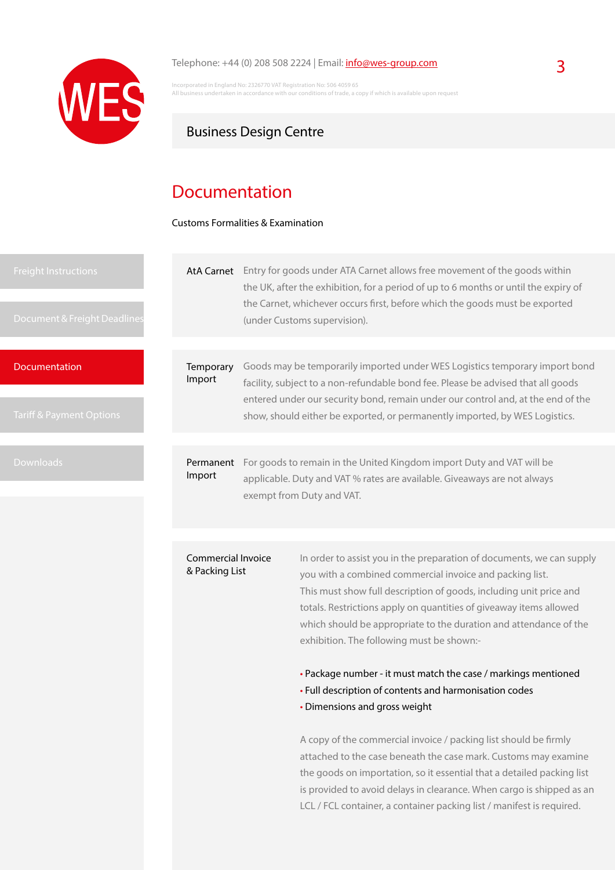<span id="page-2-0"></span>

Incorporated in England No: 2326770 VAT Registration No: 506 4059 65 All business undertaken in accordance with our conditions of trade, a copy if which is available upon requestions.

## Business Design Centre

# Documentation

Customs Formalities & Examination

**Documentation** 

AtA Carnet Entry for goods under ATA Carnet allows free movement of the goods within the UK, after the exhibition, for a period of up to 6 months or until the expiry of the Carnet, whichever occurs first, before which the goods must be exported (under Customs supervision).

**Temporary** Import Goods may be temporarily imported under WES Logistics temporary import bond facility, subject to a non-refundable bond fee. Please be advised that all goods entered under our security bond, remain under our control and, at the end of the show, should either be exported, or permanently imported, by WES Logistics.

Permanent For goods to remain in the United Kingdom import Duty and VAT will be Import applicable. Duty and VAT % rates are available. Giveaways are not always exempt from Duty and VAT.

#### Commercial Invoice & Packing List

In order to assist you in the preparation of documents, we can supply you with a combined commercial invoice and packing list. This must show full description of goods, including unit price and totals. Restrictions apply on quantities of giveaway items allowed which should be appropriate to the duration and attendance of the exhibition. The following must be shown:-

• Package number - it must match the case / markings mentioned

- Full description of contents and harmonisation codes
- Dimensions and gross weight

A copy of the commercial invoice / packing list should be firmly attached to the case beneath the case mark. Customs may examine the goods on importation, so it essential that a detailed packing list is provided to avoid delays in clearance. When cargo is shipped as an LCL / FCL container, a container packing list / manifest is required.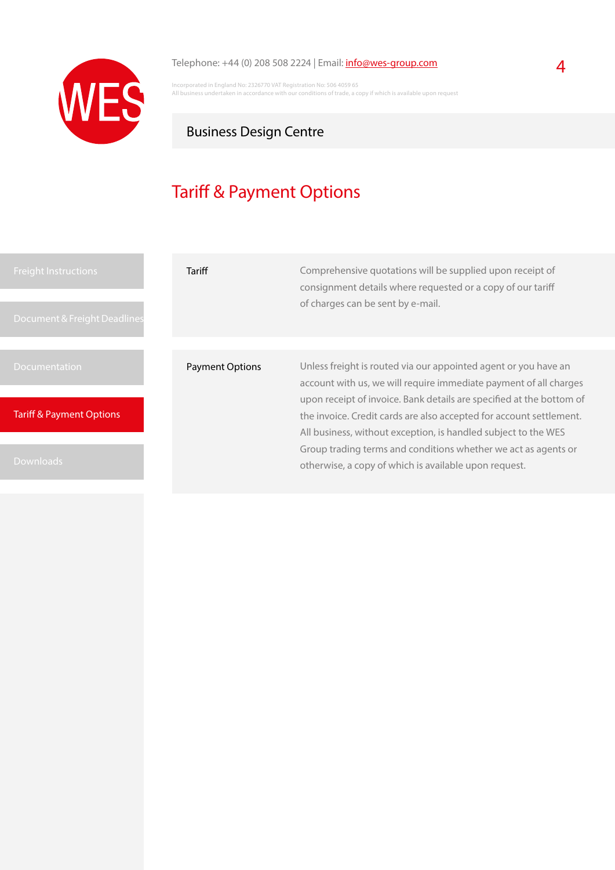<span id="page-3-0"></span>

## Telephone:  $+44$  (0) 208 508 2224 | Email:  $\frac{info@wes-group.com}{\text{if} \space q\text{if} \space q\text{if} \space q\text{if} \space q\text{if} \space q\text{if} \space q\text{if} \space q\text{if} \space q\text{if} \space q\text{if} \space q\text{if} \space q\text{if} \space q\text{if} \space q\text{if} \space q\text{if} \space q\text{if} \space q\text{if} \space q\text{if} \space q\text{if} \space q\text{if} \space q\text{if} \space$  $\frac{info@wes-group.com}{\text{if} \space q\text{if} \space q\text{if} \space q\text{if} \space q\text{if} \space q\text{if} \space q\text{if} \space q\text{if} \space q\text{if} \space q\text{if} \space q\text{if} \space q\text{if} \space q\text{if} \space q\text{if} \space q\text{if} \space q\text{if} \space q\text{if} \space q\text{if} \space q\text{if} \space q\text{if} \space q\text{if} \space$  $\frac{info@wes-group.com}{\text{if} \space q\text{if} \space q\text{if} \space q\text{if} \space q\text{if} \space q\text{if} \space q\text{if} \space q\text{if} \space q\text{if} \space q\text{if} \space q\text{if} \space q\text{if} \space q\text{if} \space q\text{if} \space q\text{if} \space q\text{if} \space q\text{if} \space q\text{if} \space q\text{if} \space q\text{if} \space q\text{if} \space$

Incorporated in England No: 2326770 VAT Registration No: 506 4059 65 All business undertaken in accordance with our conditions of trade, a copy if which is available upon request

# Business Design Centre

# Tariff & Payment Options

| <b>Freight Instructions</b><br>Document & Freight Deadlines | Tariff                 | Comprehensive quotations will be supplied upon receipt of<br>consignment details where requested or a copy of our tariff<br>of charges can be sent by e-mail.                                                                                                                                                                                         |  |
|-------------------------------------------------------------|------------------------|-------------------------------------------------------------------------------------------------------------------------------------------------------------------------------------------------------------------------------------------------------------------------------------------------------------------------------------------------------|--|
|                                                             |                        |                                                                                                                                                                                                                                                                                                                                                       |  |
| <b>Documentation</b>                                        | <b>Payment Options</b> | Unless freight is routed via our appointed agent or you have an<br>account with us, we will require immediate payment of all charges<br>upon receipt of invoice. Bank details are specified at the bottom of<br>the invoice. Credit cards are also accepted for account settlement.<br>All business, without exception, is handled subject to the WES |  |
| <b>Tariff &amp; Payment Options</b>                         |                        |                                                                                                                                                                                                                                                                                                                                                       |  |
| <b>Downloads</b>                                            |                        | Group trading terms and conditions whether we act as agents or<br>otherwise, a copy of which is available upon request.                                                                                                                                                                                                                               |  |